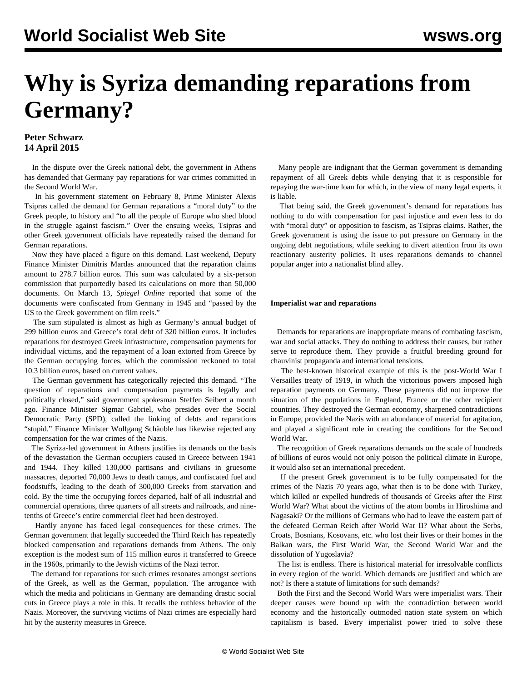## **Why is Syriza demanding reparations from Germany?**

## **Peter Schwarz 14 April 2015**

 In the dispute over the Greek national debt, the government in Athens has demanded that Germany pay reparations for war crimes committed in the Second World War.

 In his government statement on February 8, Prime Minister Alexis Tsipras called the demand for German reparations a "moral duty" to the Greek people, to history and "to all the people of Europe who shed blood in the struggle against fascism." Over the ensuing weeks, Tsipras and other Greek government officials have repeatedly raised the demand for German reparations.

 Now they have placed a figure on this demand. Last weekend, Deputy Finance Minister Dimitris Mardas announced that the reparation claims amount to 278.7 billion euros. This sum was calculated by a six-person commission that purportedly based its calculations on more than 50,000 documents. On March 13, *Spiegel Online* reported that some of the documents were confiscated from Germany in 1945 and "passed by the US to the Greek government on film reels."

 The sum stipulated is almost as high as Germany's annual budget of 299 billion euros and Greece's total debt of 320 billion euros. It includes reparations for destroyed Greek infrastructure, compensation payments for individual victims, and the repayment of a loan extorted from Greece by the German occupying forces, which the commission reckoned to total 10.3 billion euros, based on current values.

 The German government has categorically rejected this demand. "The question of reparations and compensation payments is legally and politically closed," said government spokesman Steffen Seibert a month ago. Finance Minister Sigmar Gabriel, who presides over the Social Democratic Party (SPD), called the linking of debts and reparations "stupid." Finance Minister Wolfgang Schäuble has likewise rejected any compensation for the war crimes of the Nazis.

 The Syriza-led government in Athens justifies its demands on the basis of the devastation the German occupiers caused in Greece between 1941 and 1944. They killed 130,000 partisans and civilians in gruesome massacres, deported 70,000 Jews to death camps, and confiscated fuel and foodstuffs, leading to the death of 300,000 Greeks from starvation and cold. By the time the occupying forces departed, half of all industrial and commercial operations, three quarters of all streets and railroads, and ninetenths of Greece's entire commercial fleet had been destroyed.

 Hardly anyone has faced legal consequences for these crimes. The German government that legally succeeded the Third Reich has repeatedly blocked compensation and reparations demands from Athens. The only exception is the modest sum of 115 million euros it transferred to Greece in the 1960s, primarily to the Jewish victims of the Nazi terror.

 The demand for reparations for such crimes resonates amongst sections of the Greek, as well as the German, population. The arrogance with which the media and politicians in Germany are demanding drastic social cuts in Greece plays a role in this. It recalls the ruthless behavior of the Nazis. Moreover, the surviving victims of Nazi crimes are especially hard hit by the austerity measures in Greece.

 Many people are indignant that the German government is demanding repayment of all Greek debts while denying that it is responsible for repaying the war-time loan for which, in the view of many legal experts, it is liable.

 That being said, the Greek government's demand for reparations has nothing to do with compensation for past injustice and even less to do with "moral duty" or opposition to fascism, as Tsipras claims. Rather, the Greek government is using the issue to put pressure on Germany in the ongoing debt negotiations, while seeking to divert attention from its own reactionary austerity policies. It uses reparations demands to channel popular anger into a nationalist blind alley.

## **Imperialist war and reparations**

 Demands for reparations are inappropriate means of combating fascism, war and social attacks. They do nothing to address their causes, but rather serve to reproduce them. They provide a fruitful breeding ground for chauvinist propaganda and international tensions.

 The best-known historical example of this is the post-World War I Versailles treaty of 1919, in which the victorious powers imposed high reparation payments on Germany. These payments did not improve the situation of the populations in England, France or the other recipient countries. They destroyed the German economy, sharpened contradictions in Europe, provided the Nazis with an abundance of material for agitation, and played a significant role in creating the conditions for the Second World War.

 The recognition of Greek reparations demands on the scale of hundreds of billions of euros would not only poison the political climate in Europe, it would also set an international precedent.

 If the present Greek government is to be fully compensated for the crimes of the Nazis 70 years ago, what then is to be done with Turkey, which killed or expelled hundreds of thousands of Greeks after the First World War? What about the victims of the atom bombs in Hiroshima and Nagasaki? Or the millions of Germans who had to leave the eastern part of the defeated German Reich after World War II? What about the Serbs, Croats, Bosnians, Kosovans, etc. who lost their lives or their homes in the Balkan wars, the First World War, the Second World War and the dissolution of Yugoslavia?

 The list is endless. There is historical material for irresolvable conflicts in every region of the world. Which demands are justified and which are not? Is there a statute of limitations for such demands?

 Both the First and the Second World Wars were imperialist wars. Their deeper causes were bound up with the contradiction between world economy and the historically outmoded nation state system on which capitalism is based. Every imperialist power tried to solve these